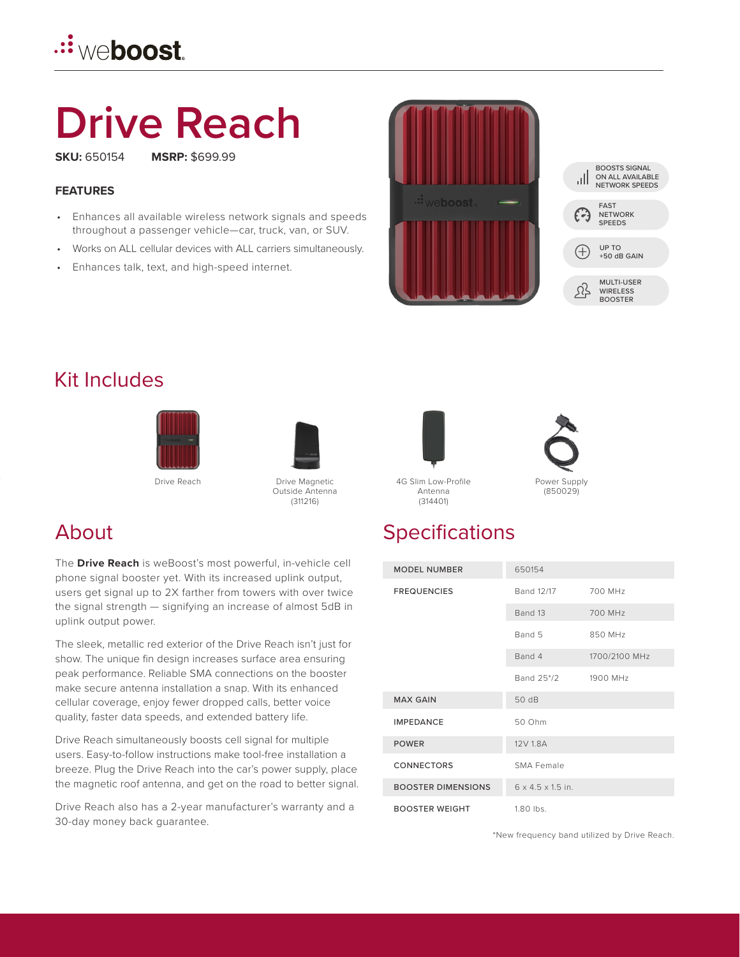## **<u>.∷weboost</u>**

# **Drive Reach**

**SKU:** 650154 **MSRP:** \$699.99

#### **FEATURES**

- Enhances all available wireless network signals and speeds throughout a passenger vehicle—car, truck, van, or SUV.
- Works on ALL cellular devices with ALL carriers simultaneously.
- Enhances talk, text, and high-speed internet.





#### Kit Includes





Outside Antenna (311216)

#### About

The **Drive Reach** is weBoost's most powerful, in-vehicle cell phone signal booster yet. With its increased uplink output, users get signal up to 2X farther from towers with over twice the signal strength — signifying an increase of almost 5dB in uplink output power.

The sleek, metallic red exterior of the Drive Reach isn't just for show. The unique fin design increases surface area ensuring peak performance. Reliable SMA connections on the booster make secure antenna installation a snap. With its enhanced cellular coverage, enjoy fewer dropped calls, better voice quality, faster data speeds, and extended battery life.

Drive Reach simultaneously boosts cell signal for multiple users. Easy-to-follow instructions make tool-free installation a breeze. Plug the Drive Reach into the car's power supply, place the magnetic roof antenna, and get on the road to better signal.

Drive Reach also has a 2-year manufacturer's warranty and a 30-day money back guarantee.





Antenna (314401)

Power Supply (850029)

### **Specifications**

| <b>MODEL NUMBER</b>       | 650154                        |               |
|---------------------------|-------------------------------|---------------|
| <b>FREQUENCIES</b>        | Band 12/17                    | 700 MHz       |
|                           | Band 13                       | 700 MHz       |
|                           | Band 5                        | 850 MHz       |
|                           | Band 4                        | 1700/2100 MHz |
|                           | Band 25*/2                    | 1900 MHz      |
| <b>MAX GAIN</b>           | 50 dB                         |               |
| <b>IMPFDANCF</b>          | 50 Ohm                        |               |
| <b>POWER</b>              | 12V 1.8A                      |               |
| <b>CONNECTORS</b>         | SMA Female                    |               |
| <b>BOOSTER DIMENSIONS</b> | $6 \times 4.5 \times 1.5$ in. |               |
| <b>BOOSTER WEIGHT</b>     | $1.80$ lbs.                   |               |

\*New frequency band utilized by Drive Reach.